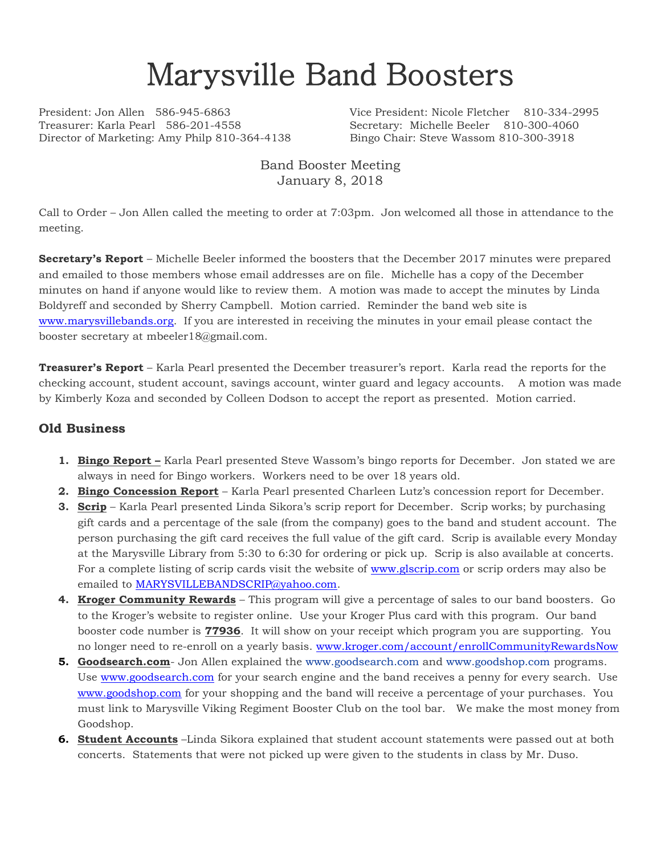# Marysville Band Boosters

Treasurer: Karla Pearl 586-201-4558 Secretary: Michelle Beeler 810-300-4060 Director of Marketing: Amy Philp 810-364-4138 Bingo Chair: Steve Wassom 810-300-3918

President: Jon Allen 586-945-6863 Vice President: Nicole Fletcher 810-334-2995

### Band Booster Meeting January 8, 2018

Call to Order – Jon Allen called the meeting to order at 7:03pm. Jon welcomed all those in attendance to the meeting.

**Secretary's Report** – Michelle Beeler informed the boosters that the December 2017 minutes were prepared and emailed to those members whose email addresses are on file. Michelle has a copy of the December minutes on hand if anyone would like to review them. A motion was made to accept the minutes by Linda Boldyreff and seconded by Sherry Campbell. Motion carried. Reminder the band web site is [www.marysvillebands.org.](http://www.marysvillebands.org/) If you are interested in receiving the minutes in your email please contact the booster secretary at mbeeler18@gmail.com.

**Treasurer's Report** – Karla Pearl presented the December treasurer's report. Karla read the reports for the checking account, student account, savings account, winter guard and legacy accounts. A motion was made by Kimberly Koza and seconded by Colleen Dodson to accept the report as presented. Motion carried.

### **Old Business**

- **1. Bingo Report –** Karla Pearl presented Steve Wassom's bingo reports for December. Jon stated we are always in need for Bingo workers. Workers need to be over 18 years old.
- **2. Bingo Concession Report** Karla Pearl presented Charleen Lutz's concession report for December.
- **3. Scrip** Karla Pearl presented Linda Sikora's scrip report for December. Scrip works; by purchasing gift cards and a percentage of the sale (from the company) goes to the band and student account. The person purchasing the gift card receives the full value of the gift card. Scrip is available every Monday at the Marysville Library from 5:30 to 6:30 for ordering or pick up. Scrip is also available at concerts. For a complete listing of scrip cards visit the website of [www.glscrip.com](http://www.glscrip.com/) or scrip orders may also be emailed to [MARYSVILLEBANDSCRIP@yahoo.com.](mailto:MARYSVILLEBANDSCRIP@yahoo.com)
- **4. Kroger Community Rewards** This program will give a percentage of sales to our band boosters. Go to the Kroger's website to register online. Use your Kroger Plus card with this program. Our band booster code number is **77936**. It will show on your receipt which program you are supporting. You no longer need to re-enroll on a yearly basis. [www.kroger.com/account/enrollCommunityRewardsNow](http://www.kroger.com/account/enrollCommunityRewardsNow)
- **5. Goodsearch.com** Jon Allen explained the [www.goodsearch.com](http://www.goodsearch.com/) and [www.goodshop.com](http://www.goodshop.com/) programs. Use [www.goodsearch.com](http://www.goodsearch.com/) for your search engine and the band receives a penny for every search. Use [www.goodshop.com](http://www.goodshop.com/) for your shopping and the band will receive a percentage of your purchases. You must link to Marysville Viking Regiment Booster Club on the tool bar. We make the most money from Goodshop.
- **6. Student Accounts** –Linda Sikora explained that student account statements were passed out at both concerts. Statements that were not picked up were given to the students in class by Mr. Duso.